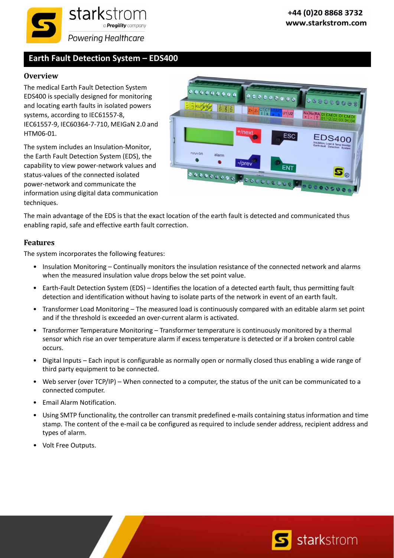

## **Earth Fault Detection System – EDS400**

### **Overview**

The medical Earth Fault Detection System EDS400 is specially designed for monitoring and locating earth faults in isolated powers systems, according to IEC61557‐8, IEC61557‐9, IEC60364‐7‐710, MEIGaN 2.0 and HTM06‐01.

The system includes an Insulation‐Monitor, the Earth Fault Detection System (EDS), the capability to view power‐network values and status‐values of the connected isolated power‐network and communicate the information using digital data communication techniques.



The main advantage of the EDS is that the exact location of the earth fault is detected and communicated thus enabling rapid, safe and effective earth fault correction.

#### **Features**

The system incorporates the following features:

- Insulation Monitoring Continually monitors the insulation resistance of the connected network and alarms when the measured insulation value drops below the set point value.
- Earth‐Fault Detection System (EDS) Identifies the location of a detected earth fault, thus permitting fault detection and identification without having to isolate parts of the network in event of an earth fault.
- Transformer Load Monitoring The measured load is continuously compared with an editable alarm set point and if the threshold is exceeded an over‐current alarm is activated.
- Transformer Temperature Monitoring Transformer temperature is continuously monitored by a thermal sensor which rise an over temperature alarm if excess temperature is detected or if a broken control cable occurs.
- Digital Inputs Each input is configurable as normally open or normally closed thus enabling a wide range of third party equipment to be connected.
- Web server (over TCP/IP) When connected to a computer, the status of the unit can be communicated to a connected computer.
- Email Alarm Notification.
- Using SMTP functionality, the controller can transmit predefined e‐mails containing status information and time stamp. The content of the e-mail ca be configured as required to include sender address, recipient address and types of alarm.
- Volt Free Outputs.